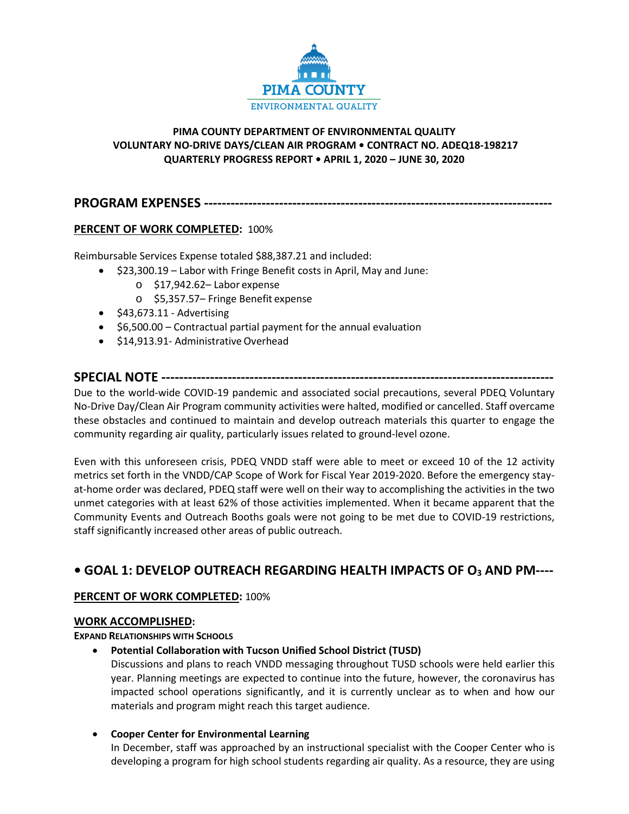

# **PIMA COUNTY DEPARTMENT OF ENVIRONMENTAL QUALITY VOLUNTARY NO-DRIVE DAYS/CLEAN AIR PROGRAM • CONTRACT NO. ADEQ18-198217 QUARTERLY PROGRESS REPORT • APRIL 1, 2020 – JUNE 30, 2020**

**PROGRAM EXPENSES -------------------------------------------------------------------------------**

# **PERCENT OF WORK COMPLETED:** 100%

Reimbursable Services Expense totaled \$88,387.21 and included:

- \$23,300.19 Labor with Fringe Benefit costs in April, May and June:
	- o \$17,942.62– Labor expense
	- o \$5,357.57– Fringe Benefit expense
- \$43,673.11 Advertising
- \$6,500.00 Contractual partial payment for the annual evaluation
- \$14,913.91- Administrative Overhead

# **SPECIAL NOTE -----------------------------------------------------------------------------------------**

Due to the world-wide COVID-19 pandemic and associated social precautions, several PDEQ Voluntary No-Drive Day/Clean Air Program community activities were halted, modified or cancelled. Staff overcame these obstacles and continued to maintain and develop outreach materials this quarter to engage the community regarding air quality, particularly issues related to ground-level ozone.

Even with this unforeseen crisis, PDEQ VNDD staff were able to meet or exceed 10 of the 12 activity metrics set forth in the VNDD/CAP Scope of Work for Fiscal Year 2019-2020. Before the emergency stayat-home order was declared, PDEQ staff were well on their way to accomplishing the activities in the two unmet categories with at least 62% of those activities implemented. When it became apparent that the Community Events and Outreach Booths goals were not going to be met due to COVID-19 restrictions, staff significantly increased other areas of public outreach.

# **• GOAL 1: DEVELOP OUTREACH REGARDING HEALTH IMPACTS OF O3 AND PM----**

# **PERCENT OF WORK COMPLETED:** 100%

## **WORK ACCOMPLISHED:**

**EXPAND RELATIONSHIPS WITH SCHOOLS** 

• **Potential Collaboration with Tucson Unified School District (TUSD)**

Discussions and plans to reach VNDD messaging throughout TUSD schools were held earlier this year. Planning meetings are expected to continue into the future, however, the coronavirus has impacted school operations significantly, and it is currently unclear as to when and how our materials and program might reach this target audience.

• **Cooper Center for Environmental Learning**

In December, staff was approached by an instructional specialist with the Cooper Center who is developing a program for high school students regarding air quality. As a resource, they are using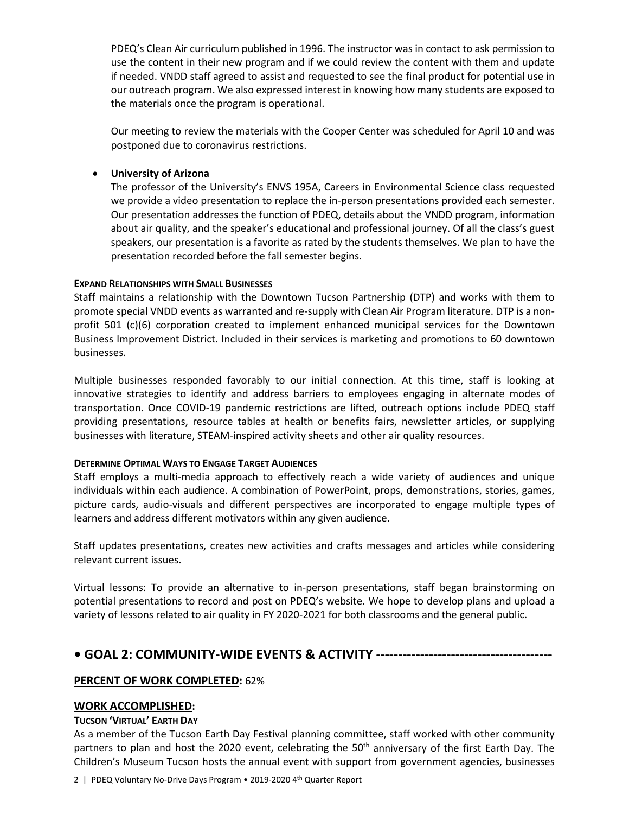PDEQ's Clean Air curriculum published in 1996. The instructor was in contact to ask permission to use the content in their new program and if we could review the content with them and update if needed. VNDD staff agreed to assist and requested to see the final product for potential use in our outreach program. We also expressed interest in knowing how many students are exposed to the materials once the program is operational.

Our meeting to review the materials with the Cooper Center was scheduled for April 10 and was postponed due to coronavirus restrictions.

## • **University of Arizona**

The professor of the University's ENVS 195A, Careers in Environmental Science class requested we provide a video presentation to replace the in-person presentations provided each semester. Our presentation addresses the function of PDEQ, details about the VNDD program, information about air quality, and the speaker's educational and professional journey. Of all the class's guest speakers, our presentation is a favorite as rated by the students themselves. We plan to have the presentation recorded before the fall semester begins.

## **EXPAND RELATIONSHIPS WITH SMALL BUSINESSES**

Staff maintains a relationship with the Downtown Tucson Partnership (DTP) and works with them to promote special VNDD events as warranted and re-supply with Clean Air Program literature. DTP is a nonprofit 501 (c)(6) corporation created to implement enhanced municipal services for the Downtown Business Improvement District. Included in their services is marketing and promotions to 60 downtown businesses.

Multiple businesses responded favorably to our initial connection. At this time, staff is looking at innovative strategies to identify and address barriers to employees engaging in alternate modes of transportation. Once COVID-19 pandemic restrictions are lifted, outreach options include PDEQ staff providing presentations, resource tables at health or benefits fairs, newsletter articles, or supplying businesses with literature, STEAM-inspired activity sheets and other air quality resources.

# **DETERMINE OPTIMAL WAYS TO ENGAGE TARGET AUDIENCES**

Staff employs a multi-media approach to effectively reach a wide variety of audiences and unique individuals within each audience. A combination of PowerPoint, props, demonstrations, stories, games, picture cards, audio-visuals and different perspectives are incorporated to engage multiple types of learners and address different motivators within any given audience.

Staff updates presentations, creates new activities and crafts messages and articles while considering relevant current issues.

Virtual lessons: To provide an alternative to in-person presentations, staff began brainstorming on potential presentations to record and post on PDEQ's website. We hope to develop plans and upload a variety of lessons related to air quality in FY 2020-2021 for both classrooms and the general public.

# **• GOAL 2: COMMUNITY-WIDE EVENTS & ACTIVITY ----------------------------------------**

# **PERCENT OF WORK COMPLETED:** 62%

# **WORK ACCOMPLISHED:**

# **TUCSON 'VIRTUAL' EARTH DAY**

As a member of the Tucson Earth Day Festival planning committee, staff worked with other community partners to plan and host the 2020 event, celebrating the 50<sup>th</sup> anniversary of the first Earth Day. The Children's Museum Tucson hosts the annual event with support from government agencies, businesses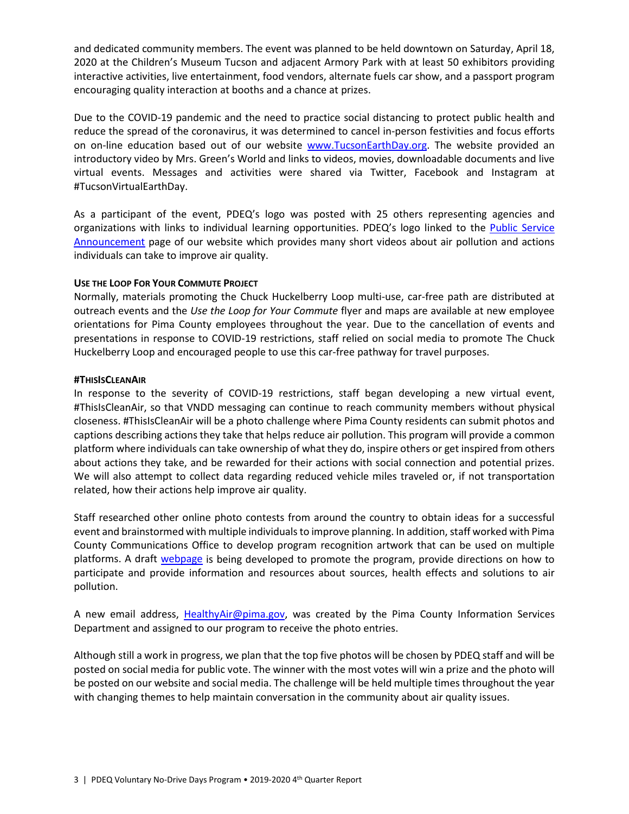and dedicated community members. The event was planned to be held downtown on Saturday, April 18, 2020 at the Children's Museum Tucson and adjacent Armory Park with at least 50 exhibitors providing interactive activities, live entertainment, food vendors, alternate fuels car show, and a passport program encouraging quality interaction at booths and a chance at prizes.

Due to the COVID-19 pandemic and the need to practice social distancing to protect public health and reduce the spread of the coronavirus, it was determined to cancel in-person festivities and focus efforts on on-line education based out of our website [www.TucsonEarthDay.org.](http://www.tucsonearthday.org/) The website provided an introductory video by Mrs. Green's World and links to videos, movies, downloadable documents and live virtual events. Messages and activities were shared via Twitter, Facebook and Instagram at #TucsonVirtualEarthDay.

As a participant of the event, PDEQ's logo was posted with 25 others representing agencies and organizations with links to individual learning opportunities. PDEQ's logo linked to the [Public Service](https://webcms.pima.gov/cms/one.aspx?portalId=169&pageId=68311)  [Announcement](https://webcms.pima.gov/cms/one.aspx?portalId=169&pageId=68311) page of our website which provides many short videos about air pollution and actions individuals can take to improve air quality.

## **USE THE LOOP FOR YOUR COMMUTE PROJECT**

Normally, materials promoting the Chuck Huckelberry Loop multi-use, car-free path are distributed at outreach events and the *Use the Loop for Your Commute* flyer and maps are available at new employee orientations for Pima County employees throughout the year. Due to the cancellation of events and presentations in response to COVID-19 restrictions, staff relied on social media to promote The Chuck Huckelberry Loop and encouraged people to use this car-free pathway for travel purposes.

#### **#THISISCLEANAIR**

In response to the severity of COVID-19 restrictions, staff began developing a new virtual event, #ThisIsCleanAir, so that VNDD messaging can continue to reach community members without physical closeness. #ThisIsCleanAir will be a photo challenge where Pima County residents can submit photos and captions describing actions they take that helps reduce air pollution. This program will provide a common platform where individuals can take ownership of what they do, inspire others or get inspired from others about actions they take, and be rewarded for their actions with social connection and potential prizes. We will also attempt to collect data regarding reduced vehicle miles traveled or, if not transportation related, how their actions help improve air quality.

Staff researched other online photo contests from around the country to obtain ideas for a successful event and brainstormed with multiple individuals to improve planning. In addition, staff worked with Pima County Communications Office to develop program recognition artwork that can be used on multiple platforms. A draft [webpage](https://webcms.pima.gov/cms/One.aspx?portalId=169&pageId=581570) is being developed to promote the program, provide directions on how to participate and provide information and resources about sources, health effects and solutions to air pollution.

A new email address, [HealthyAir@pima.gov,](mailto:HealthyAir@pima.gov) was created by the Pima County Information Services Department and assigned to our program to receive the photo entries.

Although still a work in progress, we plan that the top five photos will be chosen by PDEQ staff and will be posted on social media for public vote. The winner with the most votes will win a prize and the photo will be posted on our website and social media. The challenge will be held multiple times throughout the year with changing themes to help maintain conversation in the community about air quality issues.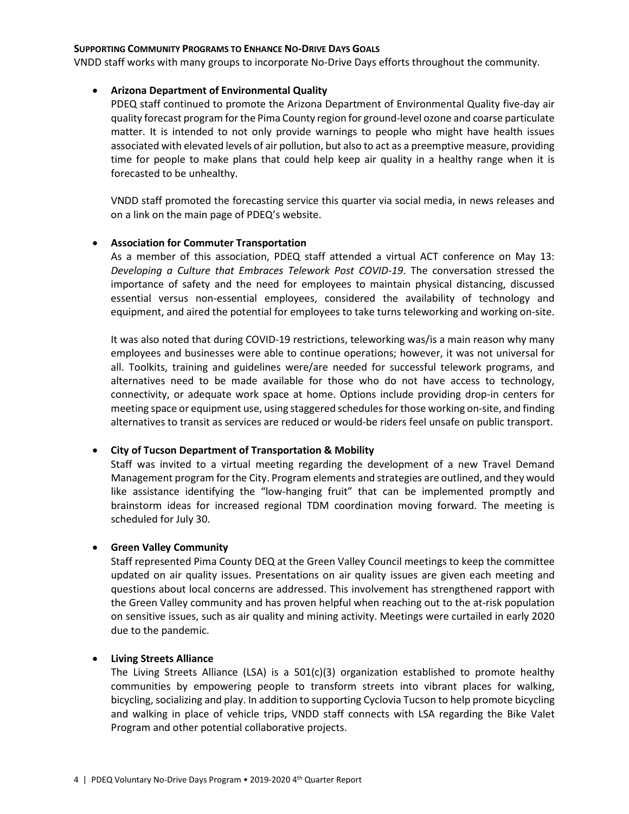#### **SUPPORTING COMMUNITY PROGRAMS TO ENHANCE NO-DRIVE DAYS GOALS**

VNDD staff works with many groups to incorporate No-Drive Days efforts throughout the community.

#### • **Arizona Department of Environmental Quality**

PDEQ staff continued to promote the Arizona Department of Environmental Quality five-day air quality forecast program for the Pima County region for ground-level ozone and coarse particulate matter. It is intended to not only provide warnings to people who might have health issues associated with elevated levels of air pollution, but also to act as a preemptive measure, providing time for people to make plans that could help keep air quality in a healthy range when it is forecasted to be unhealthy.

VNDD staff promoted the forecasting service this quarter via social media, in news releases and on a link on the main page of PDEQ's website.

#### • **Association for Commuter Transportation**

As a member of this association, PDEQ staff attended a virtual ACT conference on May 13: *Developing a Culture that Embraces Telework Post COVID-19*. The conversation stressed the importance of safety and the need for employees to maintain physical distancing, discussed essential versus non-essential employees, considered the availability of technology and equipment, and aired the potential for employees to take turns teleworking and working on-site.

It was also noted that during COVID-19 restrictions, teleworking was/is a main reason why many employees and businesses were able to continue operations; however, it was not universal for all. Toolkits, training and guidelines were/are needed for successful telework programs, and alternatives need to be made available for those who do not have access to technology, connectivity, or adequate work space at home. Options include providing drop-in centers for meeting space or equipment use, using staggered schedules for those working on-site, and finding alternatives to transit as services are reduced or would-be riders feel unsafe on public transport.

#### • **City of Tucson Department of Transportation & Mobility**

Staff was invited to a virtual meeting regarding the development of a new Travel Demand Management program for the City. Program elements and strategies are outlined, and they would like assistance identifying the "low-hanging fruit" that can be implemented promptly and brainstorm ideas for increased regional TDM coordination moving forward. The meeting is scheduled for July 30.

#### • **Green Valley Community**

Staff represented Pima County DEQ at the Green Valley Council meetings to keep the committee updated on air quality issues. Presentations on air quality issues are given each meeting and questions about local concerns are addressed. This involvement has strengthened rapport with the Green Valley community and has proven helpful when reaching out to the at-risk population on sensitive issues, such as air quality and mining activity. Meetings were curtailed in early 2020 due to the pandemic.

#### • **Living Streets Alliance**

The Living Streets Alliance (LSA) is a  $501(c)(3)$  organization established to promote healthy communities by empowering people to transform streets into vibrant places for walking, bicycling, socializing and play. In addition to supporting Cyclovia Tucson to help promote bicycling and walking in place of vehicle trips, VNDD staff connects with LSA regarding the Bike Valet Program and other potential collaborative projects.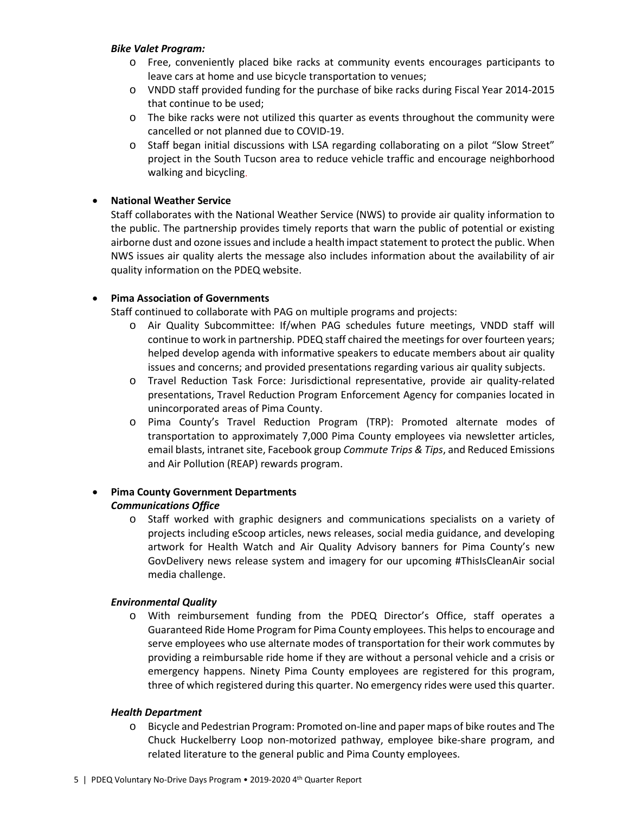#### *Bike Valet Program:*

- o Free, conveniently placed bike racks at community events encourages participants to leave cars at home and use bicycle transportation to venues;
- o VNDD staff provided funding for the purchase of bike racks during Fiscal Year 2014-2015 that continue to be used;
- o The bike racks were not utilized this quarter as events throughout the community were cancelled or not planned due to COVID-19.
- o Staff began initial discussions with LSA regarding collaborating on a pilot "Slow Street" project in the South Tucson area to reduce vehicle traffic and encourage neighborhood walking and bicycling.

# • **National Weather Service**

Staff collaborates with the National Weather Service (NWS) to provide air quality information to the public. The partnership provides timely reports that warn the public of potential or existing airborne dust and ozone issues and include a health impact statement to protect the public. When NWS issues air quality alerts the message also includes information about the availability of air quality information on the PDEQ website.

# • **Pima Association of Governments**

Staff continued to collaborate with PAG on multiple programs and projects:

- o Air Quality Subcommittee: If/when PAG schedules future meetings, VNDD staff will continue to work in partnership. PDEQ staff chaired the meetings for over fourteen years; helped develop agenda with informative speakers to educate members about air quality issues and concerns; and provided presentations regarding various air quality subjects.
- o Travel Reduction Task Force: Jurisdictional representative, provide air quality-related presentations, Travel Reduction Program Enforcement Agency for companies located in unincorporated areas of Pima County.
- o Pima County's Travel Reduction Program (TRP): Promoted alternate modes of transportation to approximately 7,000 Pima County employees via newsletter articles, email blasts, intranet site, Facebook group *Commute Trips & Tips*, and Reduced Emissions and Air Pollution (REAP) rewards program.

#### • **Pima County Government Departments**  *Communications Office*

o Staff worked with graphic designers and communications specialists on a variety of projects including eScoop articles, news releases, social media guidance, and developing artwork for Health Watch and Air Quality Advisory banners for Pima County's new GovDelivery news release system and imagery for our upcoming #ThisIsCleanAir social media challenge.

## *Environmental Quality*

o With reimbursement funding from the PDEQ Director's Office, staff operates a Guaranteed Ride Home Program for Pima County employees. This helps to encourage and serve employees who use alternate modes of transportation for their work commutes by providing a reimbursable ride home if they are without a personal vehicle and a crisis or emergency happens. Ninety Pima County employees are registered for this program, three of which registered during this quarter. No emergency rides were used this quarter.

## *Health Department*

o Bicycle and Pedestrian Program: Promoted on-line and paper maps of bike routes and The Chuck Huckelberry Loop non-motorized pathway, employee bike-share program, and related literature to the general public and Pima County employees.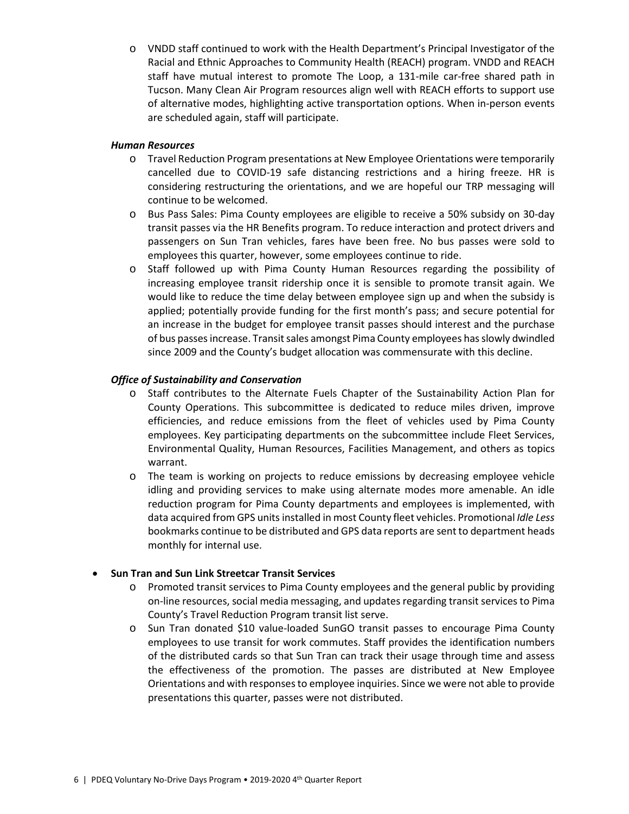o VNDD staff continued to work with the Health Department's Principal Investigator of the Racial and Ethnic Approaches to Community Health (REACH) program. VNDD and REACH staff have mutual interest to promote The Loop, a 131-mile car-free shared path in Tucson. Many Clean Air Program resources align well with REACH efforts to support use of alternative modes, highlighting active transportation options. When in-person events are scheduled again, staff will participate.

## *Human Resources*

- o Travel Reduction Program presentations at New Employee Orientations were temporarily cancelled due to COVID-19 safe distancing restrictions and a hiring freeze. HR is considering restructuring the orientations, and we are hopeful our TRP messaging will continue to be welcomed.
- o Bus Pass Sales: Pima County employees are eligible to receive a 50% subsidy on 30-day transit passes via the HR Benefits program. To reduce interaction and protect drivers and passengers on Sun Tran vehicles, fares have been free. No bus passes were sold to employees this quarter, however, some employees continue to ride.
- o Staff followed up with Pima County Human Resources regarding the possibility of increasing employee transit ridership once it is sensible to promote transit again. We would like to reduce the time delay between employee sign up and when the subsidy is applied; potentially provide funding for the first month's pass; and secure potential for an increase in the budget for employee transit passes should interest and the purchase of bus passesincrease. Transit sales amongst Pima County employees has slowly dwindled since 2009 and the County's budget allocation was commensurate with this decline.

## *Office of Sustainability and Conservation*

- o Staff contributes to the Alternate Fuels Chapter of the Sustainability Action Plan for County Operations. This subcommittee is dedicated to reduce miles driven, improve efficiencies, and reduce emissions from the fleet of vehicles used by Pima County employees. Key participating departments on the subcommittee include Fleet Services, Environmental Quality, Human Resources, Facilities Management, and others as topics warrant.
- o The team is working on projects to reduce emissions by decreasing employee vehicle idling and providing services to make using alternate modes more amenable. An idle reduction program for Pima County departments and employees is implemented, with data acquired from GPS units installed in most County fleet vehicles. Promotional *Idle Less*  bookmarks continue to be distributed and GPS data reports are sent to department heads monthly for internal use.

## • **Sun Tran and Sun Link Streetcar Transit Services**

- o Promoted transit services to Pima County employees and the general public by providing on-line resources, social media messaging, and updates regarding transit services to Pima County's Travel Reduction Program transit list serve.
- o Sun Tran donated \$10 value-loaded SunGO transit passes to encourage Pima County employees to use transit for work commutes. Staff provides the identification numbers of the distributed cards so that Sun Tran can track their usage through time and assess the effectiveness of the promotion. The passes are distributed at New Employee Orientations and with responses to employee inquiries. Since we were not able to provide presentations this quarter, passes were not distributed.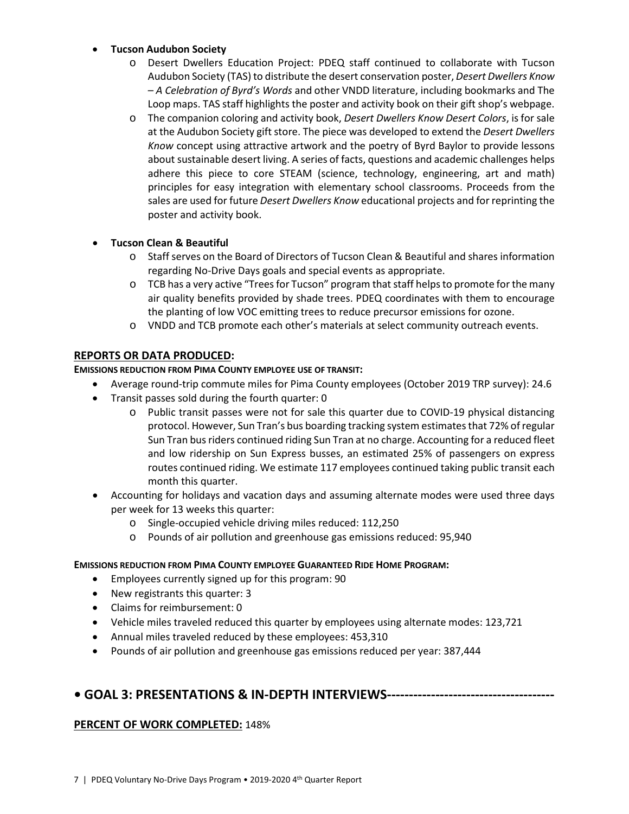# • **Tucson Audubon Society**

- o Desert Dwellers Education Project: PDEQ staff continued to collaborate with Tucson Audubon Society (TAS) to distribute the desert conservation poster, *Desert Dwellers Know – A Celebration of Byrd's Words* and other VNDD literature, including bookmarks and The Loop maps. TAS staff highlights the poster and activity book on their gift shop's webpage.
- o The companion coloring and activity book, *Desert Dwellers Know Desert Colors*, is for sale at the Audubon Society gift store. The piece was developed to extend the *Desert Dwellers Know* concept using attractive artwork and the poetry of Byrd Baylor to provide lessons about sustainable desert living. A series of facts, questions and academic challenges helps adhere this piece to core STEAM (science, technology, engineering, art and math) principles for easy integration with elementary school classrooms. Proceeds from the sales are used for future *Desert Dwellers Know* educational projects and for reprinting the poster and activity book.

# • **Tucson Clean & Beautiful**

- o Staff serves on the Board of Directors of Tucson Clean & Beautiful and shares information regarding No-Drive Days goals and special events as appropriate.
- o TCB has a very active "Trees for Tucson" program that staff helps to promote for the many air quality benefits provided by shade trees. PDEQ coordinates with them to encourage the planting of low VOC emitting trees to reduce precursor emissions for ozone.
- o VNDD and TCB promote each other's materials at select community outreach events.

# **REPORTS OR DATA PRODUCED:**

## **EMISSIONS REDUCTION FROM PIMA COUNTY EMPLOYEE USE OF TRANSIT:**

- Average round-trip commute miles for Pima County employees (October 2019 TRP survey): 24.6
- Transit passes sold during the fourth quarter: 0
	- o Public transit passes were not for sale this quarter due to COVID-19 physical distancing protocol. However, Sun Tran's bus boarding tracking system estimates that 72% of regular Sun Tran bus riders continued riding Sun Tran at no charge. Accounting for a reduced fleet and low ridership on Sun Express busses, an estimated 25% of passengers on express routes continued riding. We estimate 117 employees continued taking public transit each month this quarter.
- Accounting for holidays and vacation days and assuming alternate modes were used three days per week for 13 weeks this quarter:
	- o Single-occupied vehicle driving miles reduced: 112,250
	- o Pounds of air pollution and greenhouse gas emissions reduced: 95,940

## **EMISSIONS REDUCTION FROM PIMA COUNTY EMPLOYEE GUARANTEED RIDE HOME PROGRAM:**

- Employees currently signed up for this program: 90
- New registrants this quarter: 3
- Claims for reimbursement: 0
- Vehicle miles traveled reduced this quarter by employees using alternate modes: 123,721
- Annual miles traveled reduced by these employees: 453,310
- Pounds of air pollution and greenhouse gas emissions reduced per year: 387,444

# **• GOAL 3: PRESENTATIONS & IN-DEPTH INTERVIEWS--------------------------------------**

## **PERCENT OF WORK COMPLETED:** 148%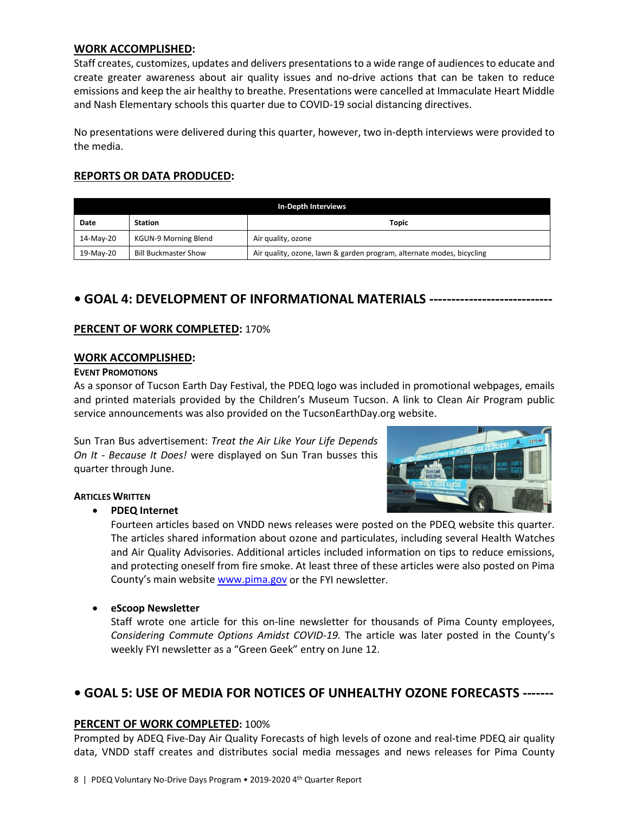#### **WORK ACCOMPLISHED:**

Staff creates, customizes, updates and delivers presentations to a wide range of audiences to educate and create greater awareness about air quality issues and no-drive actions that can be taken to reduce emissions and keep the air healthy to breathe. Presentations were cancelled at Immaculate Heart Middle and Nash Elementary schools this quarter due to COVID-19 social distancing directives.

No presentations were delivered during this quarter, however, two in-depth interviews were provided to the media.

# **REPORTS OR DATA PRODUCED:**

| <b>In-Depth Interviews</b>             |                             |                                                                       |  |  |
|----------------------------------------|-----------------------------|-----------------------------------------------------------------------|--|--|
| <b>Station</b><br><b>Topic</b><br>Date |                             |                                                                       |  |  |
| 14-May-20                              | <b>KGUN-9 Morning Blend</b> | Air quality, ozone                                                    |  |  |
| 19-May-20                              | <b>Bill Buckmaster Show</b> | Air quality, ozone, lawn & garden program, alternate modes, bicycling |  |  |

# **• GOAL 4: DEVELOPMENT OF INFORMATIONAL MATERIALS ----------------------------**

## **PERCENT OF WORK COMPLETED:** 170%

#### **WORK ACCOMPLISHED:**

#### **EVENT PROMOTIONS**

As a sponsor of Tucson Earth Day Festival, the PDEQ logo was included in promotional webpages, emails and printed materials provided by the Children's Museum Tucson. A link to Clean Air Program public service announcements was also provided on the TucsonEarthDay.org website.

Sun Tran Bus advertisement: *Treat the Air Like Your Life Depends On It - Because It Does!* were displayed on Sun Tran busses this quarter through June.



## **ARTICLES WRITTEN**

## • **PDEQ Internet**

Fourteen articles based on VNDD news releases were posted on the PDEQ website this quarter. The articles shared information about ozone and particulates, including several Health Watches and Air Quality Advisories. Additional articles included information on tips to reduce emissions, and protecting oneself from fire smoke. At least three of these articles were also posted on Pima County's main website [www.pima.gov](http://www.pima.gov/) or the FYI newsletter.

## • **eScoop Newsletter**

Staff wrote one article for this on-line newsletter for thousands of Pima County employees, *Considering Commute Options Amidst COVID-19.* The article was later posted in the County's weekly FYI newsletter as a "Green Geek" entry on June 12.

# **• GOAL 5: USE OF MEDIA FOR NOTICES OF UNHEALTHY OZONE FORECASTS -------**

## **PERCENT OF WORK COMPLETED:** 100%

Prompted by ADEQ Five-Day Air Quality Forecasts of high levels of ozone and real-time PDEQ air quality data, VNDD staff creates and distributes social media messages and news releases for Pima County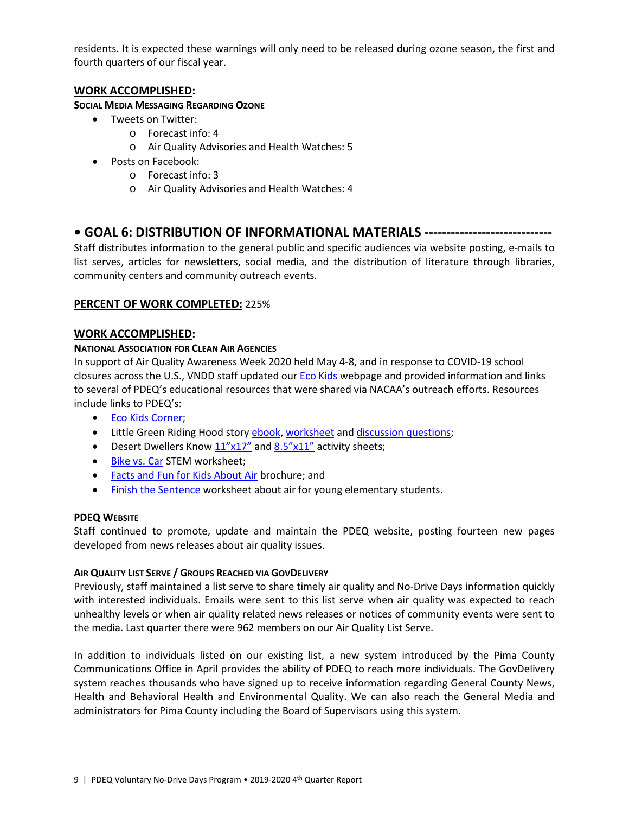residents. It is expected these warnings will only need to be released during ozone season, the first and fourth quarters of our fiscal year.

# **WORK ACCOMPLISHED:**

## **SOCIAL MEDIA MESSAGING REGARDING OZONE**

- Tweets on Twitter:
	- o Forecast info: 4
	- o Air Quality Advisories and Health Watches: 5
- Posts on Facebook:
	- o Forecast info: 3
	- o Air Quality Advisories and Health Watches: 4

# **• GOAL 6: DISTRIBUTION OF INFORMATIONAL MATERIALS -----------------------------**

Staff distributes information to the general public and specific audiences via website posting, e-mails to list serves, articles for newsletters, social media, and the distribution of literature through libraries, community centers and community outreach events.

# **PERCENT OF WORK COMPLETED:** 225%

# **WORK ACCOMPLISHED:**

# **NATIONAL ASSOCIATION FOR CLEAN AIR AGENCIES**

In support of Air Quality Awareness Week 2020 held May 4-8, and in response to COVID-19 school closures across the U.S., VNDD staff updated our [Eco Kids](https://webcms.pima.gov/cms/One.aspx?pageId=60013) webpage and provided information and links to several of PDEQ's educational resources that were shared via NACAA's outreach efforts. Resources include links to PDEQ's:

- [Eco Kids Corner;](http://www.cleanair.pima.gov/)
- Little Green Riding Hood story [ebook,](https://webcms.pima.gov/cms/One.aspx?portalId=169&pageId=422281) [worksheet](https://webcms.pima.gov/UserFiles/Servers/Server_6/File/Government/Environmental%20Quality/InfoEdOutreach/CAP%20Activities/LGRH-ActivitySheet_K-2.pdf) and [discussion questions;](https://webcms.pima.gov/UserFiles/Servers/Server_6/File/Government/Environmental%20Quality/InfoEdOutreach/CAP%20Activities/LGRH-ActivityQuestions_4-6gr.pdf)
- Desert Dwellers Know  $\underline{11"x17"}$  and  $\underline{8.5"x11"}$  activity sheets;
- [Bike vs. Car](https://webcms.pima.gov/UserFiles/Servers/Server_6/File/Government/Environmental%20Quality/InfoEdOutreach/CAP%20Activities/Bike.CarCompare_11.15.pdf) STEM worksheet;
- [Facts and Fun for Kids About Air](https://webcms.pima.gov/UserFiles/Servers/Server_6/File/Government/Environmental%20Quality/InfoEdOutreach/CAP%20Activities/11933%20facts%20and%20fun%20for%20kids%20about%20airRTP.pdf) brochure; and
- [Finish the Sentence](https://webcms.pima.gov/UserFiles/Servers/Server_6/File/Government/Environmental%20Quality/InfoEdOutreach/CAP%20Activities/Finish%20the%20Sentence_ActivitySheet_20180227.pdf) worksheet about air for young elementary students.

## **PDEQ WEBSITE**

Staff continued to promote, update and maintain the PDEQ website, posting fourteen new pages developed from news releases about air quality issues.

## **AIR QUALITY LIST SERVE / GROUPS REACHED VIA GOVDELIVERY**

Previously, staff maintained a list serve to share timely air quality and No-Drive Days information quickly with interested individuals. Emails were sent to this list serve when air quality was expected to reach unhealthy levels or when air quality related news releases or notices of community events were sent to the media. Last quarter there were 962 members on our Air Quality List Serve.

In addition to individuals listed on our existing list, a new system introduced by the Pima County Communications Office in April provides the ability of PDEQ to reach more individuals. The GovDelivery system reaches thousands who have signed up to receive information regarding General County News, Health and Behavioral Health and Environmental Quality. We can also reach the General Media and administrators for Pima County including the Board of Supervisors using this system.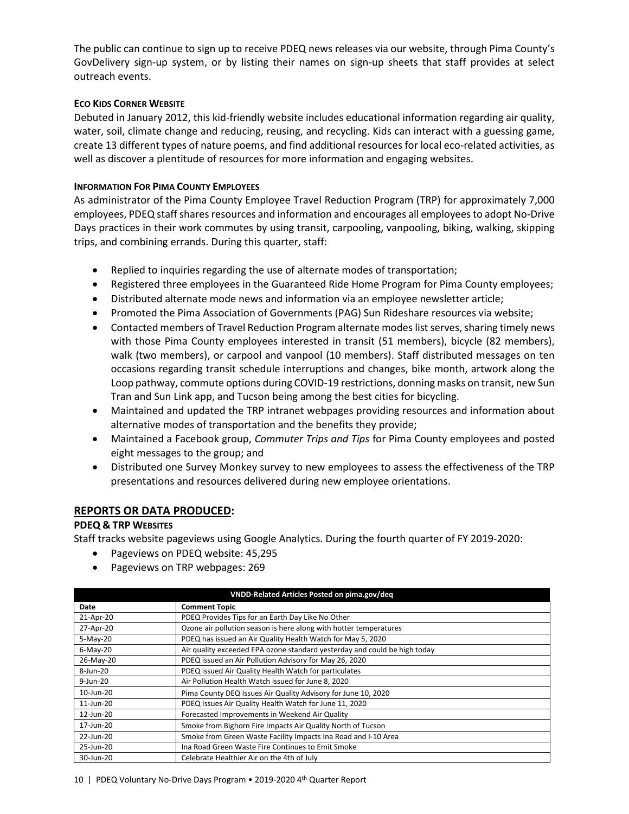The public can continue to sign up to receive PDEQ news releases via our website, through Pima County's GovDelivery sign-up system, or by listing their names on sign-up sheets that staff provides at select outreach events.

#### **ECO KIDS CORNER WEBSITE**

Debuted in January 2012, this kid-friendly website includes educational information regarding air quality, water, soil, climate change and reducing, reusing, and recycling. Kids can interact with a guessing game, create 13 different types of nature poems, and find additional resources for local eco-related activities, as well as discover a plentitude of resources for more information and engaging websites.

#### **INFORMATION FOR PIMA COUNTY EMPLOYEES**

As administrator of the Pima County Employee Travel Reduction Program (TRP) for approximately 7,000 employees, PDEQ staffshares resources and information and encourages all employees to adopt No-Drive Days practices in their work commutes by using transit, carpooling, vanpooling, biking, walking, skipping trips, and combining errands. During this quarter, staff:

- Replied to inquiries regarding the use of alternate modes of transportation;
- Registered three employees in the Guaranteed Ride Home Program for Pima County employees;
- Distributed alternate mode news and information via an employee newsletter article;
- Promoted the Pima Association of Governments (PAG) Sun Rideshare resources via website;
- Contacted members of Travel Reduction Program alternate modes list serves, sharing timely news with those Pima County employees interested in transit (51 members), bicycle (82 members), walk (two members), or carpool and vanpool (10 members). Staff distributed messages on ten occasions regarding transit schedule interruptions and changes, bike month, artwork along the Loop pathway, commute options during COVID-19 restrictions, donning masks on transit, new Sun Tran and Sun Link app, and Tucson being among the best cities for bicycling.
- Maintained and updated the TRP intranet webpages providing resources and information about alternative modes of transportation and the benefits they provide;
- Maintained a Facebook group, *Commuter Trips and Tips* for Pima County employees and posted eight messages to the group; and
- Distributed one Survey Monkey survey to new employees to assess the effectiveness of the TRP presentations and resources delivered during new employee orientations.

## **REPORTS OR DATA PRODUCED:**

## **PDEQ & TRP WEBSITES**

Staff tracks website pageviews using Google Analytics. During the fourth quarter of FY 2019-2020:

- Pageviews on PDEQ website: 45,295
- Pageviews on TRP webpages: 269

| VNDD-Related Articles Posted on pima.gov/deq |                                                                           |  |  |
|----------------------------------------------|---------------------------------------------------------------------------|--|--|
| Date                                         | <b>Comment Topic</b>                                                      |  |  |
| 21-Apr-20                                    | PDEQ Provides Tips for an Earth Day Like No Other                         |  |  |
| 27-Apr-20                                    | Ozone air pollution season is here along with hotter temperatures         |  |  |
| $5-May-20$                                   | PDEQ has issued an Air Quality Health Watch for May 5, 2020               |  |  |
| $6$ -May-20                                  | Air quality exceeded EPA ozone standard yesterday and could be high today |  |  |
| 26-May-20                                    | PDEQ issued an Air Pollution Advisory for May 26, 2020                    |  |  |
| 8-Jun-20                                     | PDEQ issued Air Quality Health Watch for particulates                     |  |  |
| 9-Jun-20                                     | Air Pollution Health Watch issued for June 8, 2020                        |  |  |
| 10-Jun-20                                    | Pima County DEQ Issues Air Quality Advisory for June 10, 2020             |  |  |
| 11-Jun-20                                    | PDEQ Issues Air Quality Health Watch for June 11, 2020                    |  |  |
| 12-Jun-20                                    | Forecasted Improvements in Weekend Air Quality                            |  |  |
| 17-Jun-20                                    | Smoke from Bighorn Fire Impacts Air Quality North of Tucson               |  |  |
| 22-Jun-20                                    | Smoke from Green Waste Facility Impacts Ina Road and I-10 Area            |  |  |
| 25-Jun-20                                    | Ina Road Green Waste Fire Continues to Emit Smoke                         |  |  |
| 30-Jun-20                                    | Celebrate Healthier Air on the 4th of July                                |  |  |

10 | PDEQ Voluntary No-Drive Days Program • 2019-2020 4th Quarter Report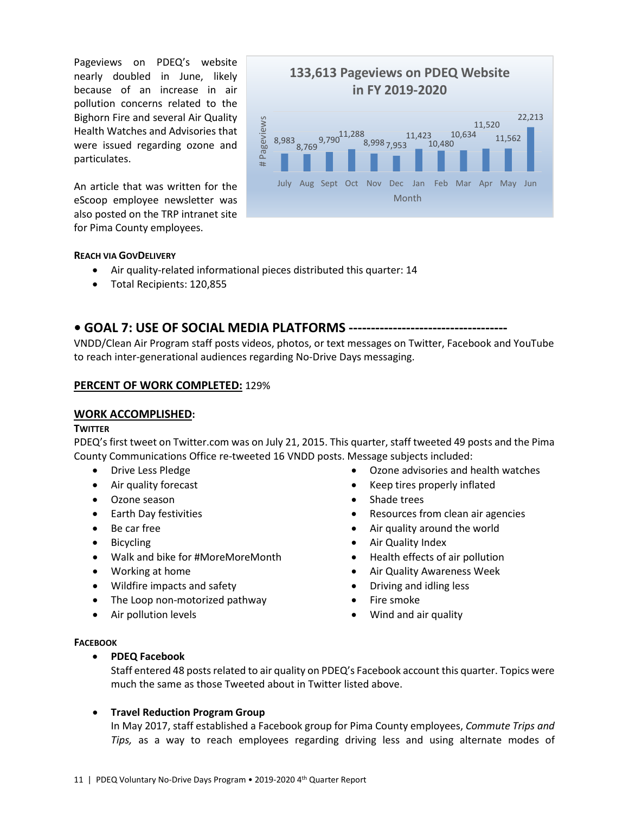Pageviews on PDEQ's website nearly doubled in June, likely because of an increase in air pollution concerns related to the Bighorn Fire and several Air Quality Health Watches and Advisories that were issued regarding ozone and particulates.

An article that was written for the eScoop employee newsletter was also posted on the TRP intranet site for Pima County employees.



#### **REACH VIA GOVDELIVERY**

- Air quality-related informational pieces distributed this quarter: 14
- Total Recipients: 120,855

# **• GOAL 7: USE OF SOCIAL MEDIA PLATFORMS ------------------------------------**

VNDD/Clean Air Program staff posts videos, photos, or text messages on Twitter, Facebook and YouTube to reach inter-generational audiences regarding No-Drive Days messaging.

#### **PERCENT OF WORK COMPLETED:** 129%

#### **WORK ACCOMPLISHED:**

#### **TWITTER**

PDEQ's first tweet on Twitter.com was on July 21, 2015. This quarter, staff tweeted 49 posts and the Pima County Communications Office re-tweeted 16 VNDD posts. Message subjects included:

- Drive Less Pledge
- Air quality forecast
- Ozone season
- Earth Day festivities
- Be car free
- Bicycling
- Walk and bike for #MoreMoreMonth
- Working at home
- Wildfire impacts and safety
- The Loop non-motorized pathway
- Air pollution levels
- Ozone advisories and health watches
- Keep tires properly inflated
- Shade trees
- Resources from clean air agencies
- Air quality around the world
- Air Quality Index
- Health effects of air pollution
- Air Quality Awareness Week
- Driving and idling less
- Fire smoke
- Wind and air quality

#### **FACEBOOK**

• **PDEQ Facebook**

Staff entered 48 posts related to air quality on PDEQ's Facebook account this quarter. Topics were much the same as those Tweeted about in Twitter listed above.

## • **Travel Reduction Program Group**

In May 2017, staff established a Facebook group for Pima County employees, *Commute Trips and Tips,* as a way to reach employees regarding driving less and using alternate modes of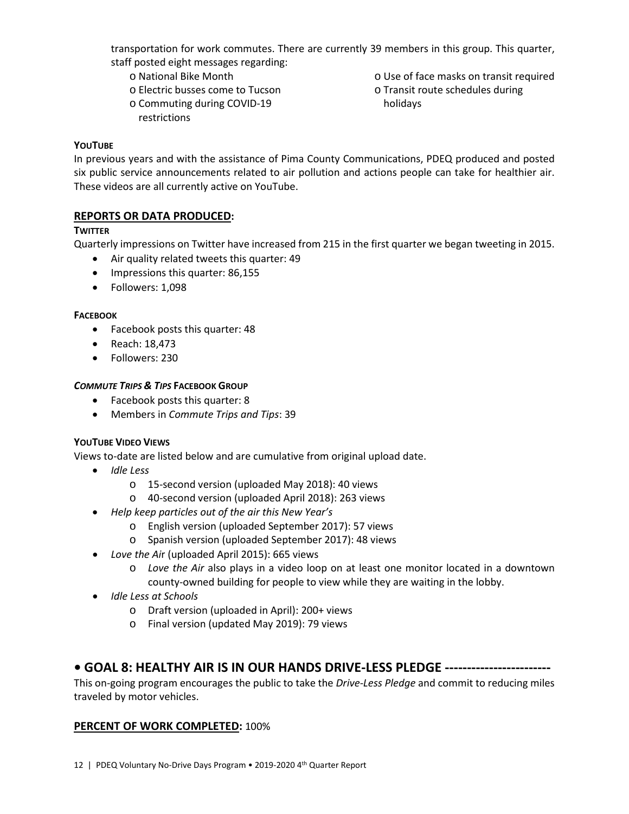transportation for work commutes. There are currently 39 members in this group. This quarter, staff posted eight messages regarding:

- o National Bike Month
- o Electric busses come to Tucson
- o Commuting during COVID-19 restrictions
- o Use of face masks on transit required
- o Transit route schedules during
- holidays

## **YOUTUBE**

In previous years and with the assistance of Pima County Communications, PDEQ produced and posted six public service announcements related to air pollution and actions people can take for healthier air. These videos are all currently active on YouTube.

# **REPORTS OR DATA PRODUCED:**

# **TWITTER**

Quarterly impressions on Twitter have increased from 215 in the first quarter we began tweeting in 2015.

- Air quality related tweets this quarter: 49
- Impressions this quarter: 86,155
- Followers: 1,098

## **FACEBOOK**

- Facebook posts this quarter: 48
- Reach: 18,473
- Followers: 230

# *COMMUTE TRIPS & TIPS* **FACEBOOK GROUP**

- Facebook posts this quarter: 8
- Members in *Commute Trips and Tips*: 39

# **YOUTUBE VIDEO VIEWS**

Views to-date are listed below and are cumulative from original upload date.

- *Idle Less*
	- o 15-second version (uploaded May 2018): 40 views
	- o 40-second version (uploaded April 2018): 263 views
- *Help keep particles out of the air this New Year's* 
	- o English version (uploaded September 2017): 57 views
	- o Spanish version (uploaded September 2017): 48 views
- *Love the Ai*r (uploaded April 2015): 665 views
	- o *Love the Air* also plays in a video loop on at least one monitor located in a downtown county-owned building for people to view while they are waiting in the lobby.
- *Idle Less at Schools*
	- o Draft version (uploaded in April): 200+ views
	- o Final version (updated May 2019): 79 views

# **• GOAL 8: HEALTHY AIR IS IN OUR HANDS DRIVE-LESS PLEDGE ------------------------**

This on-going program encourages the public to take the *Drive-Less Pledge* and commit to reducing miles traveled by motor vehicles.

## **PERCENT OF WORK COMPLETED:** 100%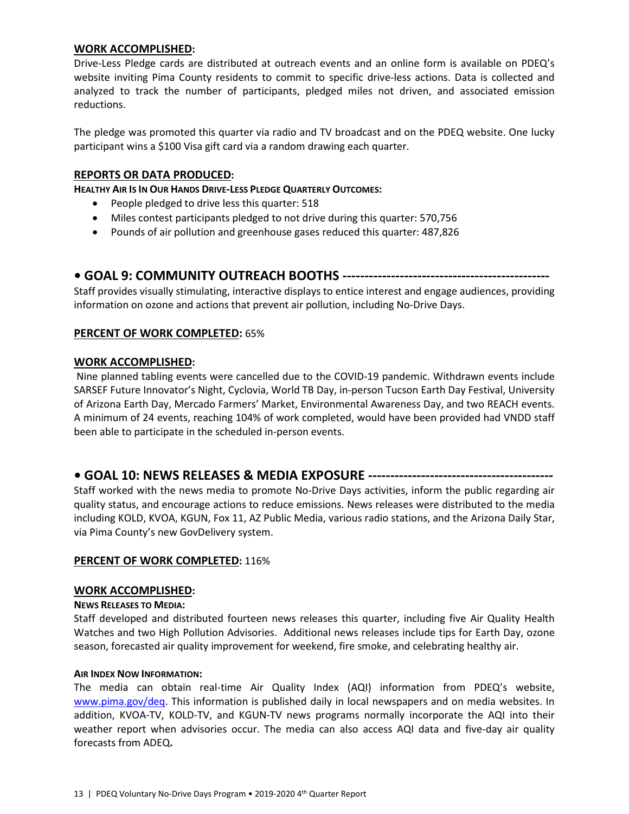#### **WORK ACCOMPLISHED:**

Drive-Less Pledge cards are distributed at outreach events and an online form is available on PDEQ's website inviting Pima County residents to commit to specific drive-less actions. Data is collected and analyzed to track the number of participants, pledged miles not driven, and associated emission reductions.

The pledge was promoted this quarter via radio and TV broadcast and on the PDEQ website. One lucky participant wins a \$100 Visa gift card via a random drawing each quarter.

## **REPORTS OR DATA PRODUCED:**

**HEALTHY AIR IS IN OUR HANDS DRIVE-LESS PLEDGE QUARTERLY OUTCOMES:**

- People pledged to drive less this quarter: 518
- Miles contest participants pledged to not drive during this quarter: 570,756
- Pounds of air pollution and greenhouse gases reduced this quarter: 487,826

## **• GOAL 9: COMMUNITY OUTREACH BOOTHS -----------------------------------------------**

Staff provides visually stimulating, interactive displays to entice interest and engage audiences, providing information on ozone and actions that prevent air pollution, including No-Drive Days.

# **PERCENT OF WORK COMPLETED:** 65%

## **WORK ACCOMPLISHED:**

Nine planned tabling events were cancelled due to the COVID-19 pandemic. Withdrawn events include SARSEF Future Innovator's Night, Cyclovia, World TB Day, in-person Tucson Earth Day Festival, University of Arizona Earth Day, Mercado Farmers' Market, Environmental Awareness Day, and two REACH events. A minimum of 24 events, reaching 104% of work completed, would have been provided had VNDD staff been able to participate in the scheduled in-person events.

## **• GOAL 10: NEWS RELEASES & MEDIA EXPOSURE ------------------------------------------**

Staff worked with the news media to promote No-Drive Days activities, inform the public regarding air quality status, and encourage actions to reduce emissions. News releases were distributed to the media including KOLD, KVOA, KGUN, Fox 11, AZ Public Media, various radio stations, and the Arizona Daily Star, via Pima County's new GovDelivery system.

#### **PERCENT OF WORK COMPLETED:** 116%

#### **WORK ACCOMPLISHED:**

#### **NEWS RELEASES TO MEDIA:**

Staff developed and distributed fourteen news releases this quarter, including five Air Quality Health Watches and two High Pollution Advisories. Additional news releases include tips for Earth Day, ozone season, forecasted air quality improvement for weekend, fire smoke, and celebrating healthy air.

#### **AIR INDEX NOW INFORMATION:**

The media can obtain real-time Air Quality Index (AQI) information from PDEQ's website, [www.pima.gov/deq.](http://www.pima.gov/deq) This information is published daily in local newspapers and on media websites. In addition, KVOA-TV, KOLD-TV, and KGUN-TV news programs normally incorporate the AQI into their weather report when advisories occur. The media can also access AQI data and five-day air quality forecasts from ADEQ**.**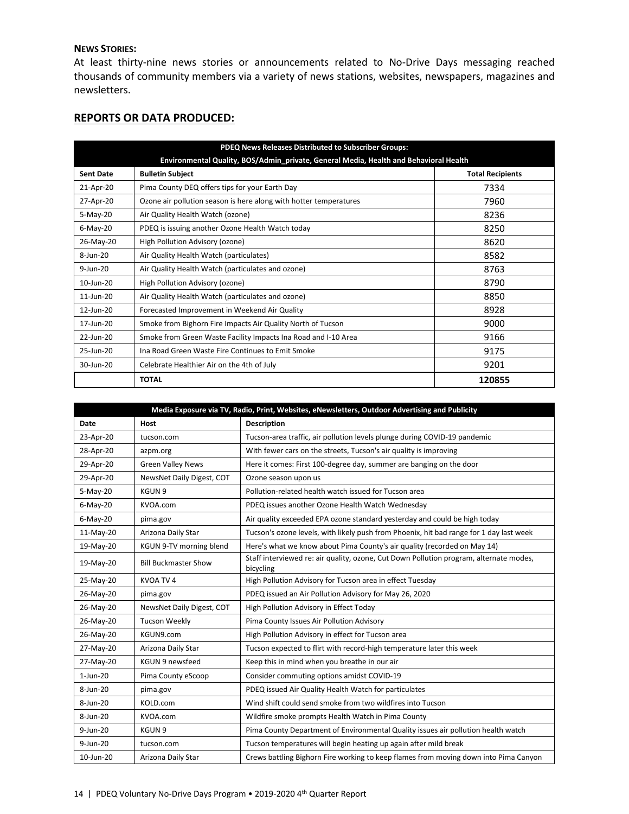#### **NEWS STORIES:**

At least thirty-nine news stories or announcements related to No-Drive Days messaging reached thousands of community members via a variety of news stations, websites, newspapers, magazines and newsletters.

## **REPORTS OR DATA PRODUCED:**

| PDEQ News Releases Distributed to Subscriber Groups:                                  |                                                                   |                         |  |  |
|---------------------------------------------------------------------------------------|-------------------------------------------------------------------|-------------------------|--|--|
| Environmental Quality, BOS/Admin_private, General Media, Health and Behavioral Health |                                                                   |                         |  |  |
| <b>Sent Date</b>                                                                      | <b>Bulletin Subject</b>                                           | <b>Total Recipients</b> |  |  |
| 21-Apr-20                                                                             | Pima County DEQ offers tips for your Earth Day                    | 7334                    |  |  |
| 27-Apr-20                                                                             | Ozone air pollution season is here along with hotter temperatures | 7960                    |  |  |
| $5-May-20$                                                                            | Air Quality Health Watch (ozone)                                  | 8236                    |  |  |
| $6$ -May-20                                                                           | PDEQ is issuing another Ozone Health Watch today                  | 8250                    |  |  |
| 26-May-20                                                                             | High Pollution Advisory (ozone)                                   | 8620                    |  |  |
| $8 - Jun - 20$                                                                        | Air Quality Health Watch (particulates)                           | 8582                    |  |  |
| 9-Jun-20                                                                              | Air Quality Health Watch (particulates and ozone)                 | 8763                    |  |  |
| 10-Jun-20                                                                             | High Pollution Advisory (ozone)                                   | 8790                    |  |  |
| $11$ -Jun-20                                                                          | Air Quality Health Watch (particulates and ozone)                 | 8850                    |  |  |
| 12-Jun-20                                                                             | Forecasted Improvement in Weekend Air Quality                     | 8928                    |  |  |
| 17-Jun-20                                                                             | Smoke from Bighorn Fire Impacts Air Quality North of Tucson       | 9000                    |  |  |
| 22-Jun-20                                                                             | Smoke from Green Waste Facility Impacts Ina Road and I-10 Area    | 9166                    |  |  |
| 25-Jun-20                                                                             | Ina Road Green Waste Fire Continues to Emit Smoke                 | 9175                    |  |  |
| 30-Jun-20                                                                             | Celebrate Healthier Air on the 4th of July                        | 9201                    |  |  |
|                                                                                       | <b>TOTAL</b>                                                      | 120855                  |  |  |

| Media Exposure via TV, Radio, Print, Websites, eNewsletters, Outdoor Advertising and Publicity |                             |                                                                                                     |  |  |
|------------------------------------------------------------------------------------------------|-----------------------------|-----------------------------------------------------------------------------------------------------|--|--|
| Date                                                                                           | <b>Host</b>                 | <b>Description</b>                                                                                  |  |  |
| 23-Apr-20                                                                                      | tucson.com                  | Tucson-area traffic, air pollution levels plunge during COVID-19 pandemic                           |  |  |
| 28-Apr-20                                                                                      | azpm.org                    | With fewer cars on the streets, Tucson's air quality is improving                                   |  |  |
| 29-Apr-20                                                                                      | <b>Green Valley News</b>    | Here it comes: First 100-degree day, summer are banging on the door                                 |  |  |
| 29-Apr-20                                                                                      | NewsNet Daily Digest, COT   | Ozone season upon us                                                                                |  |  |
| 5-May-20                                                                                       | KGUN 9                      | Pollution-related health watch issued for Tucson area                                               |  |  |
| $6$ -May-20                                                                                    | KVOA.com                    | PDEQ issues another Ozone Health Watch Wednesday                                                    |  |  |
| $6$ -May-20                                                                                    | pima.gov                    | Air quality exceeded EPA ozone standard yesterday and could be high today                           |  |  |
| 11-May-20                                                                                      | Arizona Daily Star          | Tucson's ozone levels, with likely push from Phoenix, hit bad range for 1 day last week             |  |  |
| 19-May-20                                                                                      | KGUN 9-TV morning blend     | Here's what we know about Pima County's air quality (recorded on May 14)                            |  |  |
| 19-May-20                                                                                      | <b>Bill Buckmaster Show</b> | Staff interviewed re: air quality, ozone, Cut Down Pollution program, alternate modes,<br>bicycling |  |  |
| 25-May-20                                                                                      | KVOA TV4                    | High Pollution Advisory for Tucson area in effect Tuesday                                           |  |  |
| 26-May-20                                                                                      | pima.gov                    | PDEQ issued an Air Pollution Advisory for May 26, 2020                                              |  |  |
| 26-May-20                                                                                      | NewsNet Daily Digest, COT   | High Pollution Advisory in Effect Today                                                             |  |  |
| 26-May-20                                                                                      | <b>Tucson Weekly</b>        | Pima County Issues Air Pollution Advisory                                                           |  |  |
| 26-May-20                                                                                      | KGUN9.com                   | High Pollution Advisory in effect for Tucson area                                                   |  |  |
| 27-May-20                                                                                      | Arizona Daily Star          | Tucson expected to flirt with record-high temperature later this week                               |  |  |
| 27-May-20                                                                                      | KGUN 9 newsfeed             | Keep this in mind when you breathe in our air                                                       |  |  |
| $1$ -Jun-20                                                                                    | Pima County eScoop          | Consider commuting options amidst COVID-19                                                          |  |  |
| 8-Jun-20                                                                                       | pima.gov                    | PDEQ issued Air Quality Health Watch for particulates                                               |  |  |
| 8-Jun-20                                                                                       | KOLD.com                    | Wind shift could send smoke from two wildfires into Tucson                                          |  |  |
| 8-Jun-20                                                                                       | KVOA.com                    | Wildfire smoke prompts Health Watch in Pima County                                                  |  |  |
| $9 - Jun - 20$                                                                                 | KGUN 9                      | Pima County Department of Environmental Quality issues air pollution health watch                   |  |  |
| $9$ -Jun-20                                                                                    | tucson.com                  | Tucson temperatures will begin heating up again after mild break                                    |  |  |
| 10-Jun-20                                                                                      | Arizona Daily Star          | Crews battling Bighorn Fire working to keep flames from moving down into Pima Canyon                |  |  |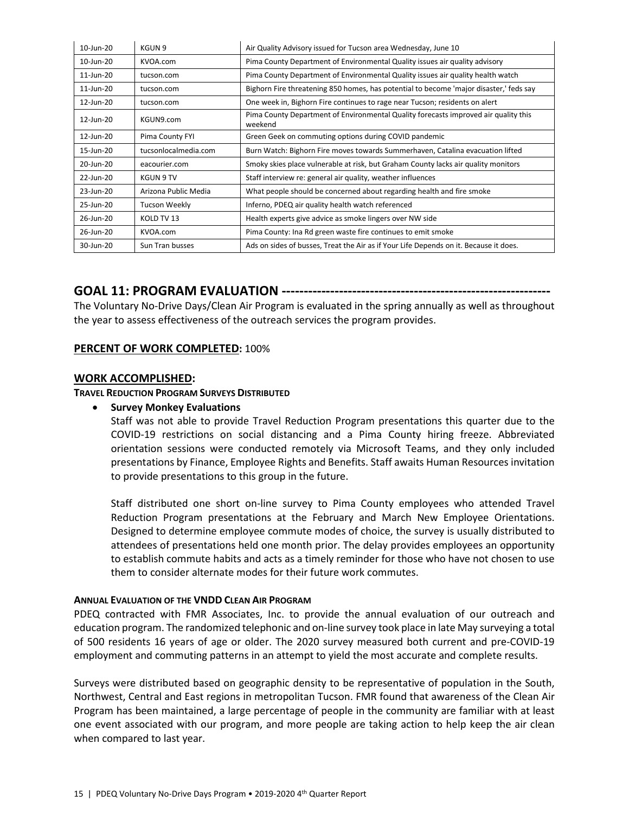| 10-Jun-20 | KGUN 9               | Air Quality Advisory issued for Tucson area Wednesday, June 10                                 |
|-----------|----------------------|------------------------------------------------------------------------------------------------|
| 10-Jun-20 | KVOA.com             | Pima County Department of Environmental Quality issues air quality advisory                    |
| 11-Jun-20 | tucson.com           | Pima County Department of Environmental Quality issues air quality health watch                |
| 11-Jun-20 | tucson.com           | Bighorn Fire threatening 850 homes, has potential to become 'major disaster,' feds say         |
| 12-Jun-20 | tucson.com           | One week in, Bighorn Fire continues to rage near Tucson; residents on alert                    |
| 12-Jun-20 | KGUN9.com            | Pima County Department of Environmental Quality forecasts improved air quality this<br>weekend |
| 12-Jun-20 | Pima County FYI      | Green Geek on commuting options during COVID pandemic                                          |
| 15-Jun-20 | tucsonlocalmedia.com | Burn Watch: Bighorn Fire moves towards Summerhaven, Catalina evacuation lifted                 |
| 20-Jun-20 | eacourier.com        | Smoky skies place vulnerable at risk, but Graham County lacks air quality monitors             |
| 22-Jun-20 | KGUN 9 TV            | Staff interview re: general air quality, weather influences                                    |
| 23-Jun-20 | Arizona Public Media | What people should be concerned about regarding health and fire smoke                          |
| 25-Jun-20 | Tucson Weekly        | Inferno, PDEQ air quality health watch referenced                                              |
| 26-Jun-20 | KOLD TV 13           | Health experts give advice as smoke lingers over NW side                                       |
| 26-Jun-20 | KVOA.com             | Pima County: Ina Rd green waste fire continues to emit smoke                                   |
| 30-Jun-20 | Sun Tran busses      | Ads on sides of busses, Treat the Air as if Your Life Depends on it. Because it does.          |

# **GOAL 11: PROGRAM EVALUATION -------------------------------------------------------------**

The Voluntary No-Drive Days/Clean Air Program is evaluated in the spring annually as well as throughout the year to assess effectiveness of the outreach services the program provides.

#### **PERCENT OF WORK COMPLETED:** 100%

#### **WORK ACCOMPLISHED:**

**TRAVEL REDUCTION PROGRAM SURVEYS DISTRIBUTED**

#### • **Survey Monkey Evaluations**

Staff was not able to provide Travel Reduction Program presentations this quarter due to the COVID-19 restrictions on social distancing and a Pima County hiring freeze. Abbreviated orientation sessions were conducted remotely via Microsoft Teams, and they only included presentations by Finance, Employee Rights and Benefits. Staff awaits Human Resources invitation to provide presentations to this group in the future.

Staff distributed one short on-line survey to Pima County employees who attended Travel Reduction Program presentations at the February and March New Employee Orientations. Designed to determine employee commute modes of choice, the survey is usually distributed to attendees of presentations held one month prior. The delay provides employees an opportunity to establish commute habits and acts as a timely reminder for those who have not chosen to use them to consider alternate modes for their future work commutes.

#### **ANNUAL EVALUATION OF THE VNDD CLEAN AIR PROGRAM**

PDEQ contracted with FMR Associates, Inc. to provide the annual evaluation of our outreach and education program. The randomized telephonic and on-line survey took place in late May surveying a total of 500 residents 16 years of age or older. The 2020 survey measured both current and pre-COVID-19 employment and commuting patterns in an attempt to yield the most accurate and complete results.

Surveys were distributed based on geographic density to be representative of population in the South, Northwest, Central and East regions in metropolitan Tucson. FMR found that awareness of the Clean Air Program has been maintained, a large percentage of people in the community are familiar with at least one event associated with our program, and more people are taking action to help keep the air clean when compared to last year.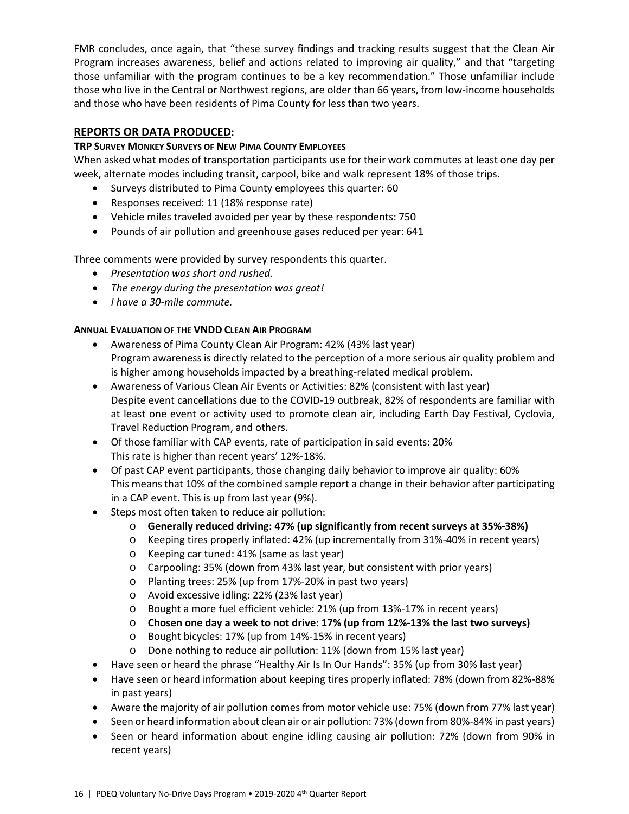FMR concludes, once again, that "these survey findings and tracking results suggest that the Clean Air Program increases awareness, belief and actions related to improving air quality," and that "targeting those unfamiliar with the program continues to be a key recommendation." Those unfamiliar include those who live in the Central or Northwest regions, are older than 66 years, from low-income households and those who have been residents of Pima County for less than two years.

# **REPORTS OR DATA PRODUCED:**

# **TRP SURVEY MONKEY SURVEYS OF NEW PIMA COUNTY EMPLOYEES**

When asked what modes of transportation participants use for their work commutes at least one day per week, alternate modes including transit, carpool, bike and walk represent 18% of those trips.

- Surveys distributed to Pima County employees this quarter: 60
- Responses received: 11 (18% response rate)
- Vehicle miles traveled avoided per year by these respondents: 750
- Pounds of air pollution and greenhouse gases reduced per year: 641

Three comments were provided by survey respondents this quarter.

- *Presentation was short and rushed.*
- *The energy during the presentation was great!*
- *I have a 30-mile commute.*

# **ANNUAL EVALUATION OF THE VNDD CLEAN AIR PROGRAM**

- Awareness of Pima County Clean Air Program: 42% (43% last year) Program awareness is directly related to the perception of a more serious air quality problem and is higher among households impacted by a breathing-related medical problem.
- Awareness of Various Clean Air Events or Activities: 82% (consistent with last year) Despite event cancellations due to the COVID-19 outbreak, 82% of respondents are familiar with at least one event or activity used to promote clean air, including Earth Day Festival, Cyclovia, Travel Reduction Program, and others.
- Of those familiar with CAP events, rate of participation in said events: 20% This rate is higher than recent years' 12%-18%.
- Of past CAP event participants, those changing daily behavior to improve air quality: 60% This means that 10% of the combined sample report a change in their behavior after participating in a CAP event. This is up from last year (9%).
- Steps most often taken to reduce air pollution:
	- o **Generally reduced driving: 47% (up significantly from recent surveys at 35%-38%)**
	- o Keeping tires properly inflated: 42% (up incrementally from 31%-40% in recent years)
	- o Keeping car tuned: 41% (same as last year)
	- o Carpooling: 35% (down from 43% last year, but consistent with prior years)
	- o Planting trees: 25% (up from 17%-20% in past two years)
	- o Avoid excessive idling: 22% (23% last year)
	- o Bought a more fuel efficient vehicle: 21% (up from 13%-17% in recent years)
	- o **Chosen one day a week to not drive: 17% (up from 12%-13% the last two surveys)**
	- o Bought bicycles: 17% (up from 14%-15% in recent years)
	- o Done nothing to reduce air pollution: 11% (down from 15% last year)
- Have seen or heard the phrase "Healthy Air Is In Our Hands": 35% (up from 30% last year)
- Have seen or heard information about keeping tires properly inflated: 78% (down from 82%-88% in past years)
- Aware the majority of air pollution comes from motor vehicle use: 75% (down from 77% last year)
- Seen or heard information about clean air or air pollution: 73% (down from 80%-84% in past years)
- Seen or heard information about engine idling causing air pollution: 72% (down from 90% in recent years)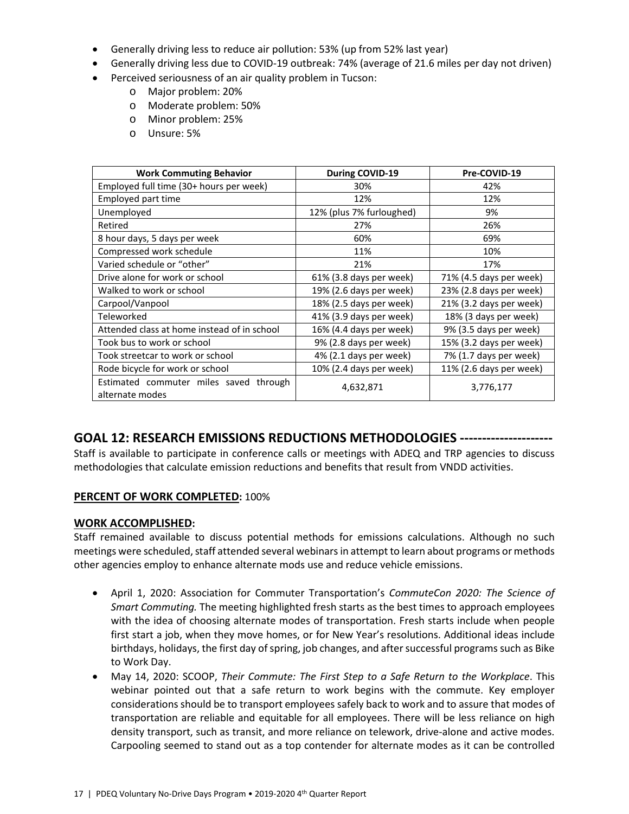- Generally driving less to reduce air pollution: 53% (up from 52% last year)
- Generally driving less due to COVID-19 outbreak: 74% (average of 21.6 miles per day not driven)
- Perceived seriousness of an air quality problem in Tucson:
	- o Major problem: 20%
	- o Moderate problem: 50%
	- o Minor problem: 25%
	- o Unsure: 5%

| <b>Work Commuting Behavior</b>                            | During COVID-19                                   | Pre-COVID-19            |  |
|-----------------------------------------------------------|---------------------------------------------------|-------------------------|--|
| Employed full time (30+ hours per week)                   | 30%                                               | 42%                     |  |
| Employed part time                                        | 12%                                               | 12%                     |  |
| Unemployed                                                | 12% (plus 7% furloughed)                          | 9%                      |  |
| Retired                                                   | 27%                                               | 26%                     |  |
| 8 hour days, 5 days per week                              | 60%                                               | 69%                     |  |
| Compressed work schedule                                  | 11%                                               | 10%                     |  |
| Varied schedule or "other"                                | 21%                                               | 17%                     |  |
| Drive alone for work or school                            | 61% (3.8 days per week)                           | 71% (4.5 days per week) |  |
| Walked to work or school                                  | 19% (2.6 days per week)                           | 23% (2.8 days per week) |  |
| Carpool/Vanpool                                           | 18% (2.5 days per week)                           | 21% (3.2 days per week) |  |
| Teleworked                                                | 41% (3.9 days per week)                           | 18% (3 days per week)   |  |
| Attended class at home instead of in school               | 16% (4.4 days per week)                           | 9% (3.5 days per week)  |  |
| Took bus to work or school                                | 15% (3.2 days per week)<br>9% (2.8 days per week) |                         |  |
| Took streetcar to work or school                          | 4% (2.1 days per week)<br>7% (1.7 days per week)  |                         |  |
| Rode bicycle for work or school                           | 10% (2.4 days per week)                           | 11% (2.6 days per week) |  |
| Estimated commuter miles saved through<br>alternate modes | 4,632,871<br>3,776,177                            |                         |  |

# **GOAL 12: RESEARCH EMISSIONS REDUCTIONS METHODOLOGIES ---------------------**

Staff is available to participate in conference calls or meetings with ADEQ and TRP agencies to discuss methodologies that calculate emission reductions and benefits that result from VNDD activities.

## **PERCENT OF WORK COMPLETED:** 100%

## **WORK ACCOMPLISHED:**

Staff remained available to discuss potential methods for emissions calculations. Although no such meetings were scheduled, staff attended several webinars in attempt to learn about programs or methods other agencies employ to enhance alternate mods use and reduce vehicle emissions.

- April 1, 2020: Association for Commuter Transportation's *CommuteCon 2020: The Science of Smart Commuting.* The meeting highlighted fresh starts as the best times to approach employees with the idea of choosing alternate modes of transportation. Fresh starts include when people first start a job, when they move homes, or for New Year's resolutions. Additional ideas include birthdays, holidays, the first day of spring, job changes, and after successful programs such as Bike to Work Day.
- May 14, 2020: SCOOP, *Their Commute: The First Step to a Safe Return to the Workplace*. This webinar pointed out that a safe return to work begins with the commute. Key employer considerations should be to transport employees safely back to work and to assure that modes of transportation are reliable and equitable for all employees. There will be less reliance on high density transport, such as transit, and more reliance on telework, drive-alone and active modes. Carpooling seemed to stand out as a top contender for alternate modes as it can be controlled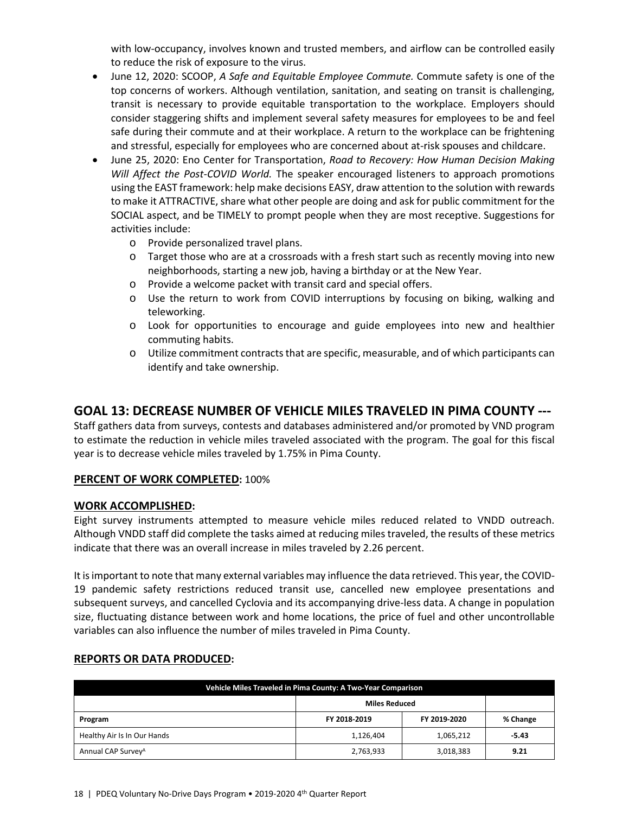with low-occupancy, involves known and trusted members, and airflow can be controlled easily to reduce the risk of exposure to the virus.

- June 12, 2020: SCOOP, *A Safe and Equitable Employee Commute.* Commute safety is one of the top concerns of workers. Although ventilation, sanitation, and seating on transit is challenging, transit is necessary to provide equitable transportation to the workplace. Employers should consider staggering shifts and implement several safety measures for employees to be and feel safe during their commute and at their workplace. A return to the workplace can be frightening and stressful, especially for employees who are concerned about at-risk spouses and childcare.
- June 25, 2020: Eno Center for Transportation, *Road to Recovery: How Human Decision Making Will Affect the Post-COVID World.* The speaker encouraged listeners to approach promotions using the EAST framework: help make decisions EASY, draw attention to the solution with rewards to make it ATTRACTIVE, share what other people are doing and ask for public commitment for the SOCIAL aspect, and be TIMELY to prompt people when they are most receptive. Suggestions for activities include:
	- o Provide personalized travel plans.
	- o Target those who are at a crossroads with a fresh start such as recently moving into new neighborhoods, starting a new job, having a birthday or at the New Year.
	- o Provide a welcome packet with transit card and special offers.
	- o Use the return to work from COVID interruptions by focusing on biking, walking and teleworking.
	- o Look for opportunities to encourage and guide employees into new and healthier commuting habits.
	- o Utilize commitment contracts that are specific, measurable, and of which participants can identify and take ownership.

# **GOAL 13: DECREASE NUMBER OF VEHICLE MILES TRAVELED IN PIMA COUNTY ---**

Staff gathers data from surveys, contests and databases administered and/or promoted by VND program to estimate the reduction in vehicle miles traveled associated with the program. The goal for this fiscal year is to decrease vehicle miles traveled by 1.75% in Pima County.

# **PERCENT OF WORK COMPLETED:** 100%

## **WORK ACCOMPLISHED:**

Eight survey instruments attempted to measure vehicle miles reduced related to VNDD outreach. Although VNDD staff did complete the tasks aimed at reducing miles traveled, the results of these metrics indicate that there was an overall increase in miles traveled by 2.26 percent.

It is important to note that many external variables may influence the data retrieved. This year, the COVID-19 pandemic safety restrictions reduced transit use, cancelled new employee presentations and subsequent surveys, and cancelled Cyclovia and its accompanying drive-less data. A change in population size, fluctuating distance between work and home locations, the price of fuel and other uncontrollable variables can also influence the number of miles traveled in Pima County.

| Vehicle Miles Traveled in Pima County: A Two-Year Comparison |                      |              |          |  |
|--------------------------------------------------------------|----------------------|--------------|----------|--|
|                                                              | <b>Miles Reduced</b> |              |          |  |
| Program                                                      | FY 2018-2019         | FY 2019-2020 | % Change |  |
| Healthy Air Is In Our Hands                                  | 1,126,404            | 1,065,212    | $-5.43$  |  |
| Annual CAP Survey <sup>A</sup>                               | 2,763,933            | 3,018,383    | 9.21     |  |

## **REPORTS OR DATA PRODUCED:**